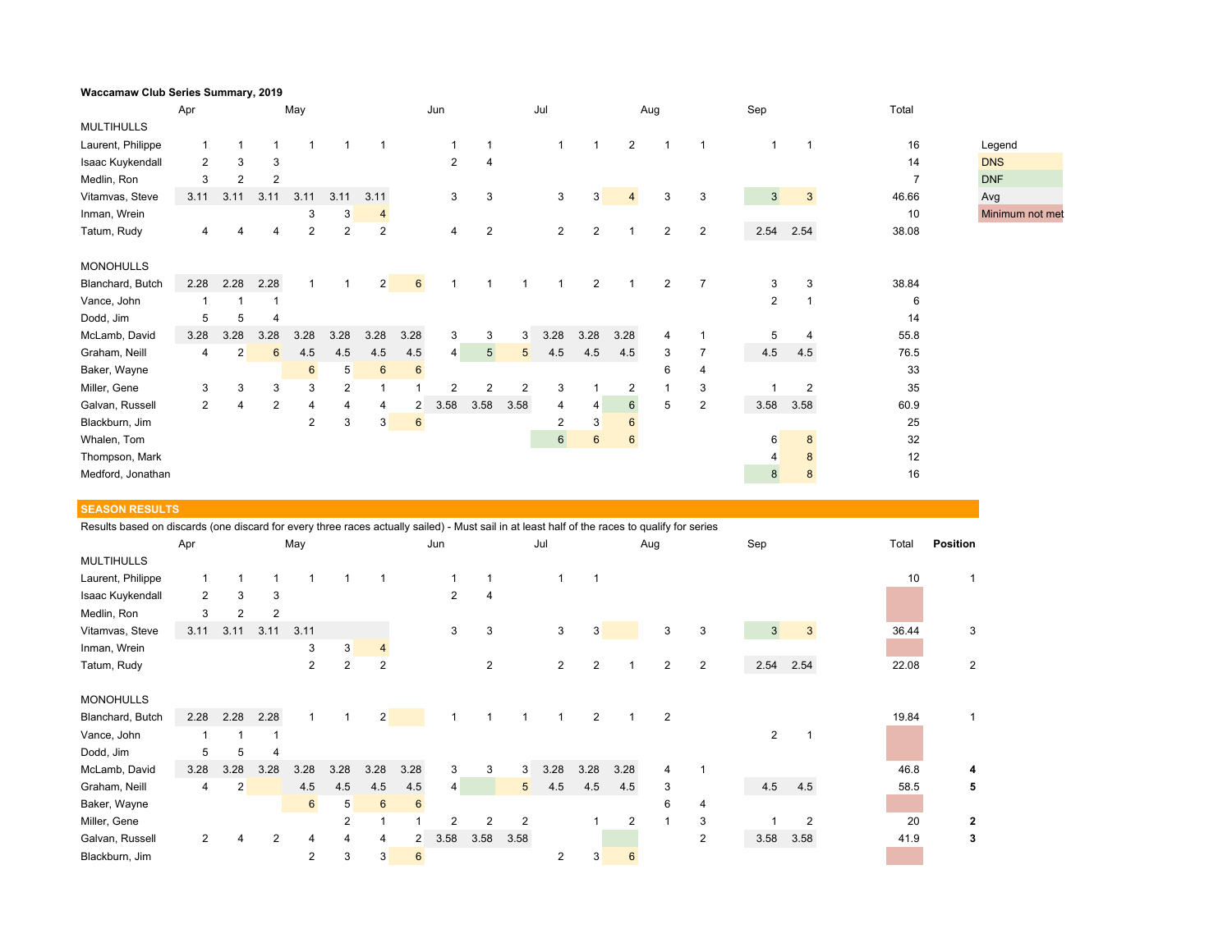| Waccamaw Club Series Summary, 2019 |                |      |      |                 |                |                 |                 |                |                |                |                |                |                |                |                |      |              |                |                 |
|------------------------------------|----------------|------|------|-----------------|----------------|-----------------|-----------------|----------------|----------------|----------------|----------------|----------------|----------------|----------------|----------------|------|--------------|----------------|-----------------|
| May<br>Apr                         |                |      |      |                 |                |                 | Jun             |                |                | Jul            |                |                | Sep<br>Aug     |                |                |      | Total        |                |                 |
| <b>MULTIHULLS</b>                  |                |      |      |                 |                |                 |                 |                |                |                |                |                |                |                |                |      |              |                |                 |
| Laurent, Philippe                  |                |      |      |                 |                |                 |                 |                |                |                | $\mathbf{1}$   |                | $\overline{c}$ |                |                |      | $\mathbf{1}$ | 16             | Legend          |
| Isaac Kuykendall                   | $\overline{2}$ | 3    | 3    |                 |                |                 |                 | 2              | $\overline{4}$ |                |                |                |                |                |                |      |              | 14             | <b>DNS</b>      |
| Medlin, Ron                        | 3              |      | 2    |                 |                |                 |                 |                |                |                |                |                |                |                |                |      |              | $\overline{7}$ | <b>DNF</b>      |
| Vitamvas, Steve                    | 3.11           | 3.11 | 3.11 | 3.11            | 3.11           | 3.11            |                 | 3              | 3              |                | 3              | 3              | $\overline{4}$ | 3              | 3              | 3    | $\mathbf{3}$ | 46.66          | Avg             |
| Inman, Wrein                       |                |      |      | 3               | 3              | $\overline{4}$  |                 |                |                |                |                |                |                |                |                |      |              | 10             | Minimum not met |
| Tatum, Rudy                        | $\overline{4}$ |      | 4    | 2               | 2              | $\overline{2}$  |                 | 4              | $\overline{2}$ |                | $\overline{c}$ | 2              |                | $\overline{2}$ | $\overline{2}$ | 2.54 | 2.54         | 38.08          |                 |
|                                    |                |      |      |                 |                |                 |                 |                |                |                |                |                |                |                |                |      |              |                |                 |
| <b>MONOHULLS</b>                   |                |      |      |                 |                |                 |                 |                |                |                |                |                |                |                |                |      |              |                |                 |
| Blanchard, Butch                   | 2.28           | 2.28 | 2.28 |                 |                | 2               | $6\overline{6}$ |                |                |                |                | $\overline{2}$ |                | 2              | $\overline{7}$ | 3    | 3            | 38.84          |                 |
| Vance, John                        |                |      |      |                 |                |                 |                 |                |                |                |                |                |                |                |                | 2    | $\mathbf{1}$ | 6              |                 |
| Dodd, Jim                          | 5              | 5    | 4    |                 |                |                 |                 |                |                |                |                |                |                |                |                |      |              | 14             |                 |
| McLamb, David                      | 3.28           | 3.28 | 3.28 | 3.28            | 3.28           | 3.28            | 3.28            | 3              | 3              | 3              | 3.28           | 3.28           | 3.28           | 4              |                | 5    |              | 55.8           |                 |
| Graham, Neill                      | 4              | 2    | 6    | 4.5             | 4.5            | 4.5             | 4.5             | $\overline{4}$ | 5 <sup>5</sup> | 5 <sup>5</sup> | 4.5            | 4.5            | 4.5            | 3              |                | 4.5  | 4.5          | 76.5           |                 |
| Baker, Wayne                       |                |      |      | $6\overline{6}$ | 5 <sup>5</sup> | $6\phantom{1}6$ | 6               |                |                |                |                |                |                | 6              | 4              |      |              | 33             |                 |
| Miller, Gene                       | 3              | 3    | 3    | 3               | $\overline{c}$ | 1               |                 | 2              | $\overline{2}$ | 2              | 3              |                | 2              |                | 3              |      | 2            | 35             |                 |
| Galvan, Russell                    | $\overline{2}$ | 4    | 2    | 4               | 4              | 4               | 2               | 3.58           | 3.58           | 3.58           | 4              | 4              | 6              | 5              | $\overline{2}$ | 3.58 | 3.58         | 60.9           |                 |
| Blackburn, Jim                     |                |      |      | $\overline{2}$  | 3              | 3               | 6               |                |                |                | $\overline{2}$ | 3              | 6              |                |                |      |              | 25             |                 |
| Whalen, Tom                        |                |      |      |                 |                |                 |                 |                |                |                | $6\phantom{a}$ | $6\phantom{1}$ | $6\phantom{1}$ |                |                | 6    | 8            | 32             |                 |
| Thompson, Mark                     |                |      |      |                 |                |                 |                 |                |                |                |                |                |                |                |                | 4    |              | 12             |                 |
| Medford, Jonathan                  |                |      |      |                 |                |                 |                 |                |                |                |                |                |                |                |                | 8    | 8            | 16             |                 |

## **SEASON RESULTS**

Results based on discards (one discard for every three races actually sailed) - Must sail in at least half of the races to qualify for series

|                   | Apr            |                |                | May            |                |                |                | Jun            |                |                | Jul            |                |      | Aug |                | Sep            |      | Total | <b>Position</b> |
|-------------------|----------------|----------------|----------------|----------------|----------------|----------------|----------------|----------------|----------------|----------------|----------------|----------------|------|-----|----------------|----------------|------|-------|-----------------|
| <b>MULTIHULLS</b> |                |                |                |                |                |                |                |                |                |                |                |                |      |     |                |                |      |       |                 |
| Laurent, Philippe |                |                |                | 1              |                |                |                |                |                |                |                |                |      |     |                |                |      | 10    |                 |
| Isaac Kuykendall  | $\overline{2}$ | 3              | 3              |                |                |                |                | $\overline{2}$ | 4              |                |                |                |      |     |                |                |      |       |                 |
| Medlin, Ron       | 3              | $\overline{2}$ | $\overline{2}$ |                |                |                |                |                |                |                |                |                |      |     |                |                |      |       |                 |
| Vitamvas, Steve   | 3.11           | 3.11           | 3.11           | 3.11           |                |                |                | 3              | 3              |                | 3              | 3              |      | 3   | 3              | 3 <sup>1</sup> | 3    | 36.44 | 3               |
| Inman, Wrein      |                |                |                | 3              | 3              | 4              |                |                |                |                |                |                |      |     |                |                |      |       |                 |
| Tatum, Rudy       |                |                |                | $\overline{2}$ | $\overline{2}$ | $\overline{2}$ |                |                | $\overline{2}$ |                | $\overline{2}$ | 2              |      | 2   | 2              | 2.54           | 2.54 | 22.08 | 2               |
|                   |                |                |                |                |                |                |                |                |                |                |                |                |      |     |                |                |      |       |                 |
| <b>MONOHULLS</b>  |                |                |                |                |                |                |                |                |                |                |                |                |      |     |                |                |      |       |                 |
| Blanchard, Butch  | 2.28           | 2.28           | 2.28           | 1              |                | $\overline{2}$ |                | 1              |                |                |                | $\overline{2}$ |      | 2   |                |                |      | 19.84 |                 |
| Vance, John       |                |                |                |                |                |                |                |                |                |                |                |                |      |     |                | $\overline{2}$ |      |       |                 |
| Dodd, Jim         | 5              | 5              | 4              |                |                |                |                |                |                |                |                |                |      |     |                |                |      |       |                 |
| McLamb, David     | 3.28           | 3.28           | 3.28           | 3.28           | 3.28           | 3.28           | 3.28           | 3              | 3              | 3              | 3.28           | 3.28           | 3.28 | 4   |                |                |      | 46.8  | 4               |
| Graham, Neill     | 4              | $\overline{2}$ |                | 4.5            | 4.5            | 4.5            | 4.5            | 4              |                | 5              | 4.5            | 4.5            | 4.5  | 3   |                | 4.5            | 4.5  | 58.5  | 5               |
| Baker, Wayne      |                |                |                | 6              | 5              | 6              | 6              |                |                |                |                |                |      | 6   | 4              |                |      |       |                 |
| Miller, Gene      |                |                |                |                | $\overline{2}$ |                |                | $\overline{2}$ |                | $\overline{2}$ |                |                | 2    |     | 3              |                | 2    | 20    | $\mathbf{2}$    |
| Galvan, Russell   | 2              |                | 2              | 4              | 4              | 4              | $\overline{2}$ | 3.58           | 3.58           | 3.58           |                |                |      |     | $\overline{2}$ | 3.58           | 3.58 | 41.9  | 3               |
| Blackburn, Jim    |                |                |                | $\overline{2}$ | 3              | 3              | 6              |                |                |                | 2              | 3              | 6    |     |                |                |      |       |                 |